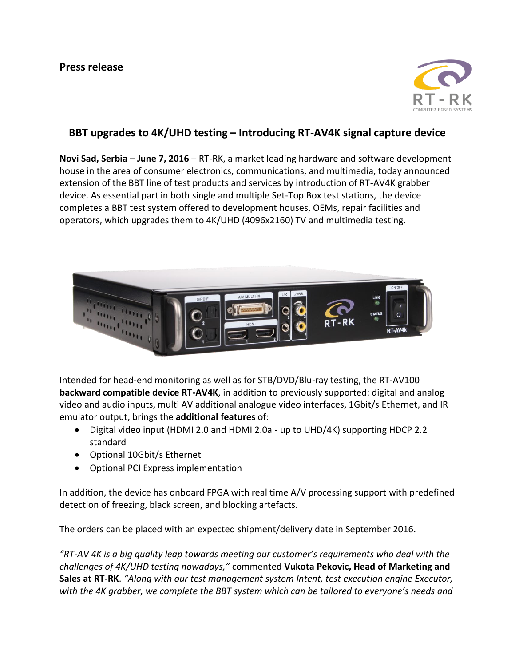

## **BBT upgrades to 4K/UHD testing – Introducing RT-AV4K signal capture device**

**Novi Sad, Serbia – June 7, 2016** – RT-RK, a market leading hardware and software development house in the area of consumer electronics, communications, and multimedia, today announced extension of the BBT line of test products and services by introduction of RT-AV4K grabber device. As essential part in both single and multiple Set-Top Box test stations, the device completes a BBT test system offered to development houses, OEMs, repair facilities and operators, which upgrades them to 4K/UHD (4096x2160) TV and multimedia testing.



Intended for head-end monitoring as well as for STB/DVD/Blu-ray testing, the RT-AV100 **backward compatible device RT-AV4K**, in addition to previously supported: digital and analog video and audio inputs, multi AV additional analogue video interfaces, 1Gbit/s Ethernet, and IR emulator output, brings the **additional features** of:

- Digital video input (HDMI 2.0 and HDMI 2.0a up to UHD/4K) supporting HDCP 2.2 standard
- Optional 10Gbit/s Ethernet
- Optional PCI Express implementation

In addition, the device has onboard FPGA with real time A/V processing support with predefined detection of freezing, black screen, and blocking artefacts.

The orders can be placed with an expected shipment/delivery date in September 2016.

*"RT-AV 4K is a big quality leap towards meeting our customer's requirements who deal with the challenges of 4K/UHD testing nowadays,"* commented **Vukota Pekovic, Head of Marketing and Sales at RT-RK**. *"Along with our test management system Intent, test execution engine Executor, with the 4K grabber, we complete the BBT system which can be tailored to everyone's needs and*